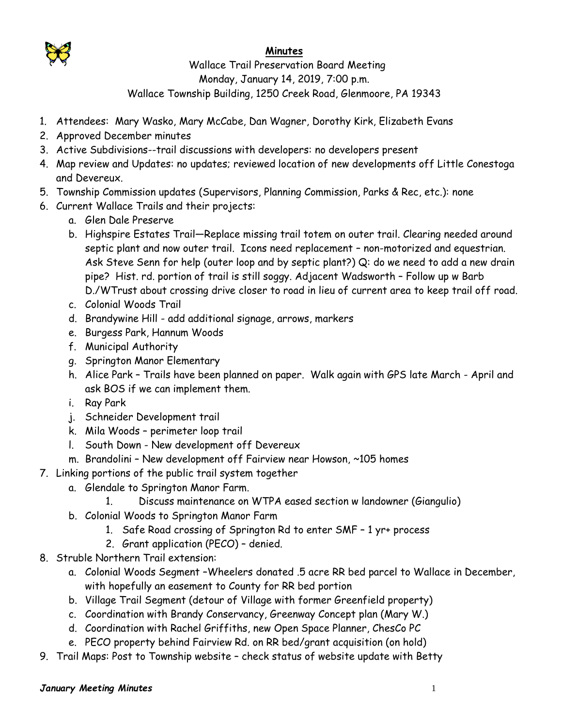

## **Minutes**

 Wallace Trail Preservation Board Meeting Monday, January 14, 2019, 7:00 p.m. Wallace Township Building, 1250 Creek Road, Glenmoore, PA 19343

- 1. Attendees: Mary Wasko, Mary McCabe, Dan Wagner, Dorothy Kirk, Elizabeth Evans
- 2. Approved December minutes
- 3. Active Subdivisions--trail discussions with developers: no developers present
- 4. Map review and Updates: no updates; reviewed location of new developments off Little Conestoga and Devereux.
- 5. Township Commission updates (Supervisors, Planning Commission, Parks & Rec, etc.): none
- 6. Current Wallace Trails and their projects:
	- a. Glen Dale Preserve
	- b. Highspire Estates Trail—Replace missing trail totem on outer trail. Clearing needed around septic plant and now outer trail. Icons need replacement – non-motorized and equestrian. Ask Steve Senn for help (outer loop and by septic plant?) Q: do we need to add a new drain pipe? Hist. rd. portion of trail is still soggy. Adjacent Wadsworth – Follow up w Barb D./WTrust about crossing drive closer to road in lieu of current area to keep trail off road.
	- c. Colonial Woods Trail
	- d. Brandywine Hill add additional signage, arrows, markers
	- e. Burgess Park, Hannum Woods
	- f. Municipal Authority
	- g. Springton Manor Elementary
	- h. Alice Park Trails have been planned on paper. Walk again with GPS late March April and ask BOS if we can implement them.
	- i. Ray Park
	- j. Schneider Development trail
	- k. Mila Woods perimeter loop trail
	- l. South Down New development off Devereux
	- m. Brandolini New development off Fairview near Howson, ~105 homes
- 7. Linking portions of the public trail system together
	- a. Glendale to Springton Manor Farm.
		- 1. Discuss maintenance on WTPA eased section w landowner (Giangulio)
	- b. Colonial Woods to Springton Manor Farm
		- 1. Safe Road crossing of Springton Rd to enter SMF 1 yr+ process
		- 2. Grant application (PECO) denied.
- 8. Struble Northern Trail extension:
	- a. Colonial Woods Segment –Wheelers donated .5 acre RR bed parcel to Wallace in December, with hopefully an easement to County for RR bed portion
	- b. Village Trail Segment (detour of Village with former Greenfield property)
	- c. Coordination with Brandy Conservancy, Greenway Concept plan (Mary W.)
	- d. Coordination with Rachel Griffiths, new Open Space Planner, ChesCo PC
	- e. PECO property behind Fairview Rd. on RR bed/grant acquisition (on hold)
- 9. Trail Maps: Post to Township website check status of website update with Betty

## *January Meeting Minutes* 1